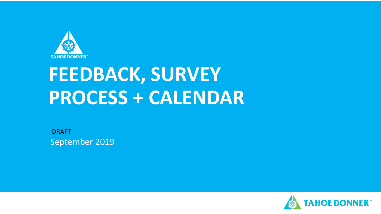

# **FEEDBACK, SURVEY PROCESS + CALENDAR**

September 2019 DRAFT

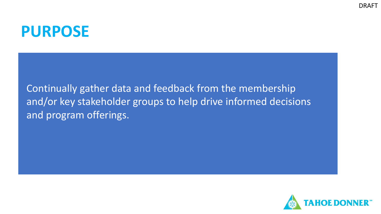### **PURPOSE**

Continually gather data and feedback from the membership and/or key stakeholder groups to help drive informed decisions and program offerings.

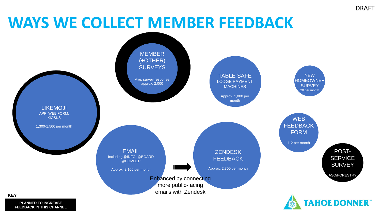# **WAYS WE COLLECT MEMBER FEEDBACK**



**PLANNED TO INCREASE FEEDBACK IN THIS CHANNEL**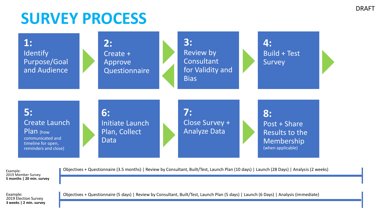# **SURVEY PROCESS**



Example: 2019 Member Survey **5 months | 20 min. survey** Objectives + Questionnaire (3.5 months) | Review by Consultant, Built/Test, Launch Plan (10 days) | Launch (28 Days) | Analysis (2 weeks)

Example: 2019 Election Survey **3 weeks | 2 min. survey**  Objectives + Questionnaire (5 days) | Review by Consultant, Built/Test, Launch Plan (5 days) | Launch (6 Days) | Analysis (immediate)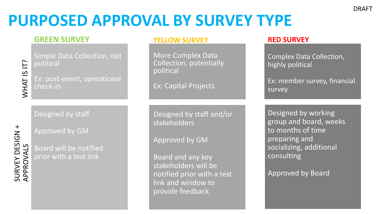# **PURPOSED APPROVAL BY SURVEY TYPE**

### **GREEN SURVEY**

WHAT IS IT?

Simple Data Collection, not political

Ex: post-event, operational check-in

Designed by staff

Approved by GM

Board will be notified prior with a test link

#### **YELLOW SURVEY**

More Complex Data Collection, potentially political

Ex: Capital Projects

Designed by staff and/or stakeholders

Approved by GM

Board and any key stakeholders will be notified prior with a test link and window to provide feedback

### **RED SURVEY**

Complex Data Collection, highly political

Ex: member survey, financial survey

Designed by working group and board, weeks to months of time preparing and socializing, additional consulting

Approved by Board